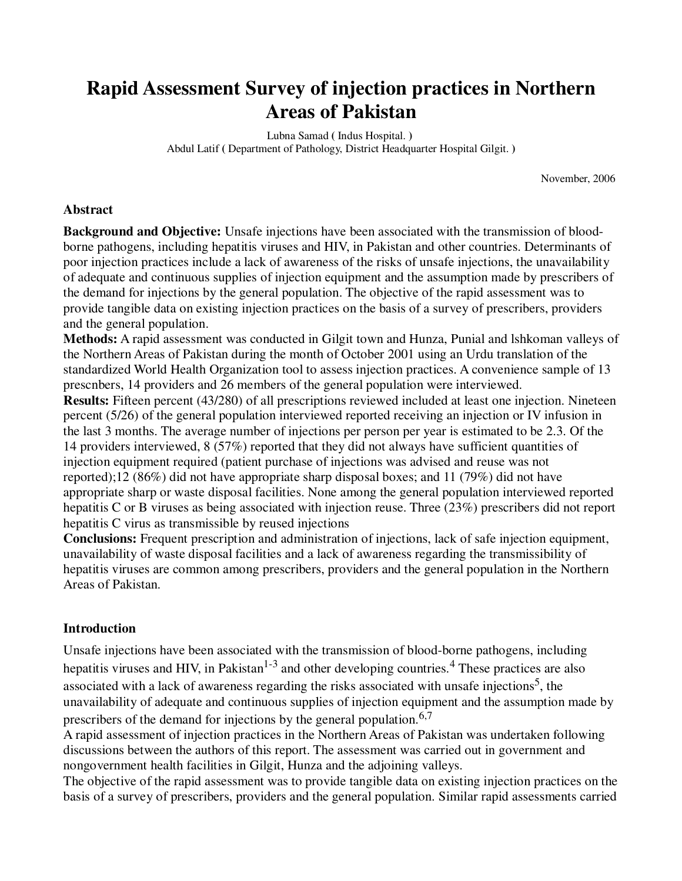# **Rapid Assessment Survey of injection practices in Northern Areas of Pakistan**

Lubna Samad **(** Indus Hospital. **)**  Abdul Latif **(** Department of Pathology, District Headquarter Hospital Gilgit. **)**

November, 2006

#### **Abstract**

**Background and Objective:** Unsafe injections have been associated with the transmission of bloodborne pathogens, including hepatitis viruses and HIV, in Pakistan and other countries. Determinants of poor injection practices include a lack of awareness of the risks of unsafe injections, the unavailability of adequate and continuous supplies of injection equipment and the assumption made by prescribers of the demand for injections by the general population. The objective of the rapid assessment was to provide tangible data on existing injection practices on the basis of a survey of prescribers, providers and the general population.

**Methods:** A rapid assessment was conducted in Gilgit town and Hunza, Punial and lshkoman valleys of the Northern Areas of Pakistan during the month of October 2001 using an Urdu translation of the standardized World Health Organization tool to assess injection practices. A convenience sample of 13 prescnbers, 14 providers and 26 members of the general population were interviewed.

**Results:** Fifteen percent (43/280) of all prescriptions reviewed included at least one injection. Nineteen percent (5/26) of the general population interviewed reported receiving an injection or IV infusion in the last 3 months. The average number of injections per person per year is estimated to be 2.3. Of the 14 providers interviewed, 8 (57%) reported that they did not always have sufficient quantities of injection equipment required (patient purchase of injections was advised and reuse was not reported);12 (86%) did not have appropriate sharp disposal boxes; and 11 (79%) did not have appropriate sharp or waste disposal facilities. None among the general population interviewed reported hepatitis C or B viruses as being associated with injection reuse. Three (23%) prescribers did not report hepatitis C virus as transmissible by reused injections

**Conclusions:** Frequent prescription and administration of injections, lack of safe injection equipment, unavailability of waste disposal facilities and a lack of awareness regarding the transmissibility of hepatitis viruses are common among prescribers, providers and the general population in the Northern Areas of Pakistan.

### **Introduction**

Unsafe injections have been associated with the transmission of blood-borne pathogens, including hepatitis viruses and HIV, in Pakistan<sup>1-3</sup> and other developing countries.<sup>4</sup> These practices are also associated with a lack of awareness regarding the risks associated with unsafe injections<sup>5</sup>, the unavailability of adequate and continuous supplies of injection equipment and the assumption made by prescribers of the demand for injections by the general population.  $6,7$ 

A rapid assessment of injection practices in the Northern Areas of Pakistan was undertaken following discussions between the authors of this report. The assessment was carried out in government and nongovernment health facilities in Gilgit, Hunza and the adjoining valleys.

The objective of the rapid assessment was to provide tangible data on existing injection practices on the basis of a survey of prescribers, providers and the general population. Similar rapid assessments carried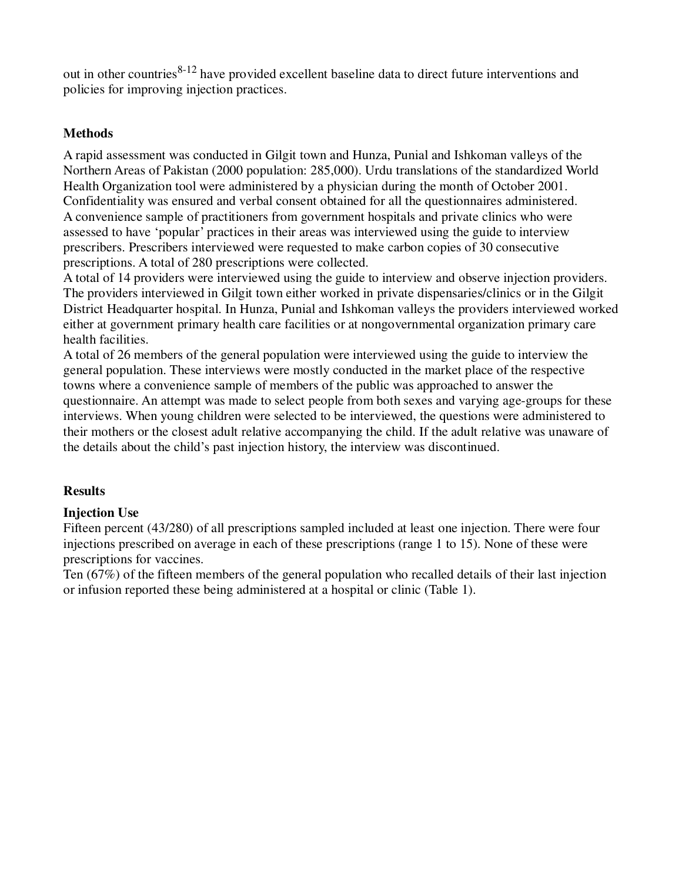out in other countries $8-12$  have provided excellent baseline data to direct future interventions and policies for improving injection practices.

# **Methods**

A rapid assessment was conducted in Gilgit town and Hunza, Punial and Ishkoman valleys of the Northern Areas of Pakistan (2000 population: 285,000). Urdu translations of the standardized World Health Organization tool were administered by a physician during the month of October 2001. Confidentiality was ensured and verbal consent obtained for all the questionnaires administered. A convenience sample of practitioners from government hospitals and private clinics who were assessed to have 'popular' practices in their areas was interviewed using the guide to interview prescribers. Prescribers interviewed were requested to make carbon copies of 30 consecutive prescriptions. A total of 280 prescriptions were collected.

A total of 14 providers were interviewed using the guide to interview and observe injection providers. The providers interviewed in Gilgit town either worked in private dispensaries/clinics or in the Gilgit District Headquarter hospital. In Hunza, Punial and Ishkoman valleys the providers interviewed worked either at government primary health care facilities or at nongovernmental organization primary care health facilities.

A total of 26 members of the general population were interviewed using the guide to interview the general population. These interviews were mostly conducted in the market place of the respective towns where a convenience sample of members of the public was approached to answer the questionnaire. An attempt was made to select people from both sexes and varying age-groups for these interviews. When young children were selected to be interviewed, the questions were administered to their mothers or the closest adult relative accompanying the child. If the adult relative was unaware of the details about the child's past injection history, the interview was discontinued.

# **Results**

# **Injection Use**

Fifteen percent (43/280) of all prescriptions sampled included at least one injection. There were four injections prescribed on average in each of these prescriptions (range 1 to 15). None of these were prescriptions for vaccines.

Ten (67%) of the fifteen members of the general population who recalled details of their last injection or infusion reported these being administered at a hospital or clinic (Table 1).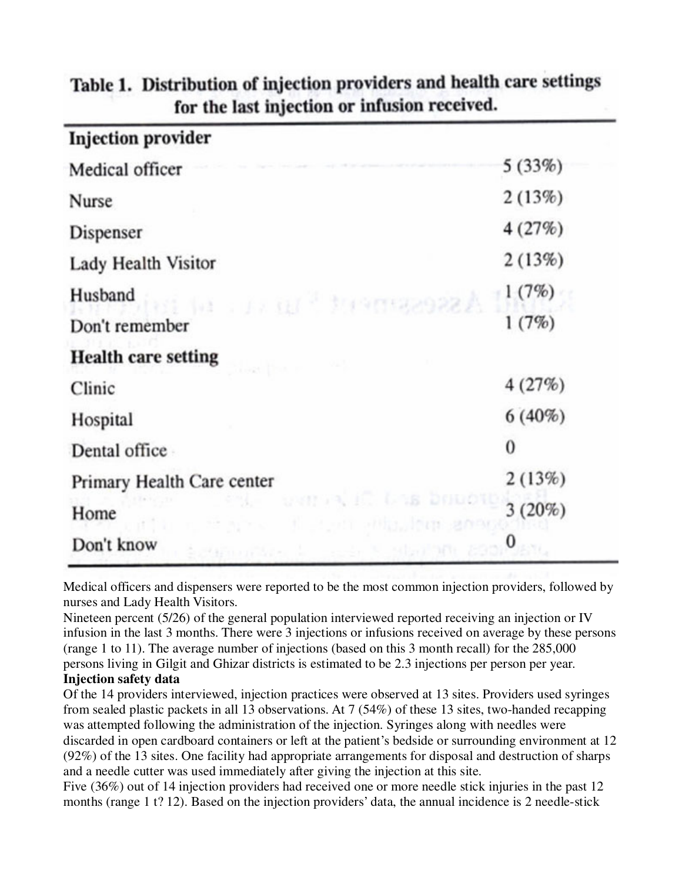| <b>Injection provider</b>                                                |           |
|--------------------------------------------------------------------------|-----------|
| Medical officer                                                          | 5(33%)    |
| Nurse                                                                    | 2(13%)    |
| Dispenser                                                                | 4(27%)    |
| Lady Health Visitor                                                      | 2(13%)    |
| Husband<br>A SSOCKET MARINE ALL ALL                                      | 1(7%)     |
| Don't remember                                                           | 1(7%)     |
| <b>Health care setting</b>                                               |           |
| Clinic                                                                   | 4(27%)    |
| Hospital                                                                 | $6(40\%)$ |
| Dental office                                                            | $\bf{0}$  |
| Primary Health Care center                                               | 2(13%)    |
| M. Canon in Las Double<br>Home<br>the cost area the computer and another | 3(20%)    |
| Don't know<br>Source of State State State (SOD                           | $\bf{0}$  |

# Table 1. Distribution of injection providers and health care settings for the last injection or infusion received.

Medical officers and dispensers were reported to be the most common injection providers, followed by nurses and Lady Health Visitors.

Nineteen percent (5/26) of the general population interviewed reported receiving an injection or IV infusion in the last 3 months. There were 3 injections or infusions received on average by these persons (range 1 to 11). The average number of injections (based on this 3 month recall) for the 285,000 persons living in Gilgit and Ghizar districts is estimated to be 2.3 injections per person per year. **Injection safety data**

Of the 14 providers interviewed, injection practices were observed at 13 sites. Providers used syringes from sealed plastic packets in all 13 observations. At 7 (54%) of these 13 sites, two-handed recapping was attempted following the administration of the injection. Syringes along with needles were discarded in open cardboard containers or left at the patient's bedside or surrounding environment at 12 (92%) of the 13 sites. One facility had appropriate arrangements for disposal and destruction of sharps and a needle cutter was used immediately after giving the injection at this site.

Five (36%) out of 14 injection providers had received one or more needle stick injuries in the past 12 months (range 1 t? 12). Based on the injection providers' data, the annual incidence is 2 needle-stick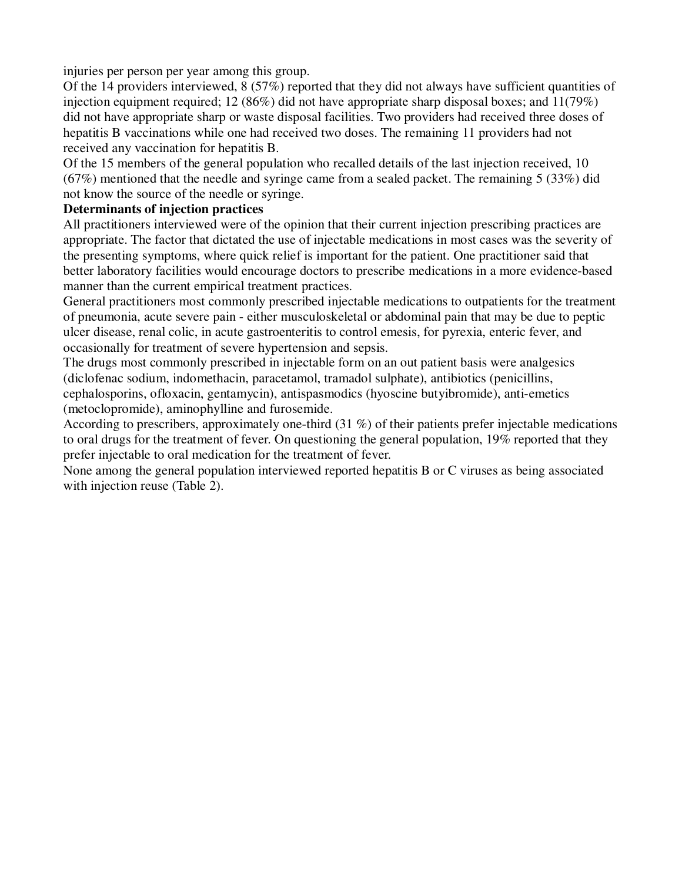injuries per person per year among this group.

Of the 14 providers interviewed, 8 (57%) reported that they did not always have sufficient quantities of injection equipment required; 12 (86%) did not have appropriate sharp disposal boxes; and  $11(79%)$ did not have appropriate sharp or waste disposal facilities. Two providers had received three doses of hepatitis B vaccinations while one had received two doses. The remaining 11 providers had not received any vaccination for hepatitis B.

Of the 15 members of the general population who recalled details of the last injection received, 10 (67%) mentioned that the needle and syringe came from a sealed packet. The remaining 5 (33%) did not know the source of the needle or syringe.

### **Determinants of injection practices**

All practitioners interviewed were of the opinion that their current injection prescribing practices are appropriate. The factor that dictated the use of injectable medications in most cases was the severity of the presenting symptoms, where quick relief is important for the patient. One practitioner said that better laboratory facilities would encourage doctors to prescribe medications in a more evidence-based manner than the current empirical treatment practices.

General practitioners most commonly prescribed injectable medications to outpatients for the treatment of pneumonia, acute severe pain - either musculoskeletal or abdominal pain that may be due to peptic ulcer disease, renal colic, in acute gastroenteritis to control emesis, for pyrexia, enteric fever, and occasionally for treatment of severe hypertension and sepsis.

The drugs most commonly prescribed in injectable form on an out patient basis were analgesics (diclofenac sodium, indomethacin, paracetamol, tramadol sulphate), antibiotics (penicillins, cephalosporins, ofloxacin, gentamycin), antispasmodics (hyoscine butyibromide), anti-emetics (metoclopromide), aminophylline and furosemide.

According to prescribers, approximately one-third (31 %) of their patients prefer injectable medications to oral drugs for the treatment of fever. On questioning the general population, 19% reported that they prefer injectable to oral medication for the treatment of fever.

None among the general population interviewed reported hepatitis B or C viruses as being associated with injection reuse (Table 2).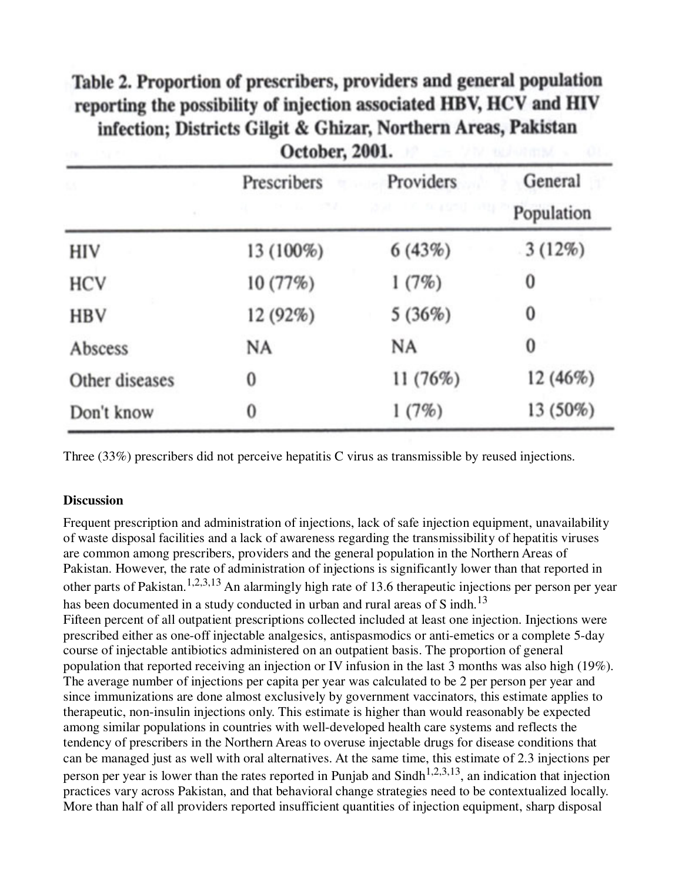# Table 2. Proportion of prescribers, providers and general population reporting the possibility of injection associated HBV, HCV and HIV infection; Districts Gilgit & Ghizar, Northern Areas, Pakistan October 2001

| ÷              | <b>OFFANCIS WAAR</b>           |                                 |                       |  |
|----------------|--------------------------------|---------------------------------|-----------------------|--|
|                | Prescribers<br>$8 - 11 = 37.2$ | Providers<br>and in scassed any | General<br>Population |  |
| HIV            | 13 (100%)                      | 6(43%)                          | 3(12%)                |  |
| <b>HCV</b>     | 10 (77%)                       | 1(7%)                           | 0                     |  |
| <b>HBV</b>     | 12 (92%)                       | 5(36%)                          | 0                     |  |
| Abscess        | NA                             | NA                              | $\bf{0}$              |  |
| Other diseases | 0                              | 11 (76%)                        | 12 (46%)              |  |
| Don't know     | 0                              | 1(7%)                           | 13 (50%)              |  |

Three (33%) prescribers did not perceive hepatitis C virus as transmissible by reused injections.

### **Discussion**

Frequent prescription and administration of injections, lack of safe injection equipment, unavailability of waste disposal facilities and a lack of awareness regarding the transmissibility of hepatitis viruses are common among prescribers, providers and the general population in the Northern Areas of Pakistan. However, the rate of administration of injections is significantly lower than that reported in other parts of Pakistan.<sup>1,2,3,13</sup> An alarmingly high rate of 13.6 therapeutic injections per person per year has been documented in a study conducted in urban and rural areas of S indh.<sup>13</sup> Fifteen percent of all outpatient prescriptions collected included at least one injection. Injections were prescribed either as one-off injectable analgesics, antispasmodics or anti-emetics or a complete 5-day course of injectable antibiotics administered on an outpatient basis. The proportion of general population that reported receiving an injection or IV infusion in the last 3 months was also high (19%). The average number of injections per capita per year was calculated to be 2 per person per year and since immunizations are done almost exclusively by government vaccinators, this estimate applies to therapeutic, non-insulin injections only. This estimate is higher than would reasonably be expected among similar populations in countries with well-developed health care systems and reflects the tendency of prescribers in the Northern Areas to overuse injectable drugs for disease conditions that can be managed just as well with oral alternatives. At the same time, this estimate of 2.3 injections per person per year is lower than the rates reported in Punjab and Sindh<sup>1,2,3,13</sup>, an indication that injection practices vary across Pakistan, and that behavioral change strategies need to be contextualized locally. More than half of all providers reported insufficient quantities of injection equipment, sharp disposal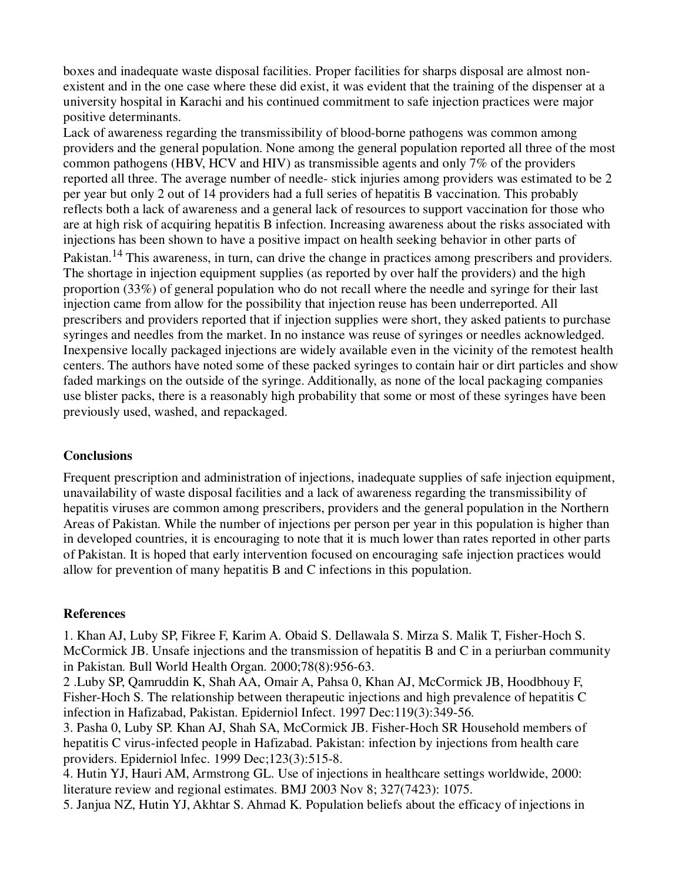boxes and inadequate waste disposal facilities. Proper facilities for sharps disposal are almost nonexistent and in the one case where these did exist, it was evident that the training of the dispenser at a university hospital in Karachi and his continued commitment to safe injection practices were major positive determinants.

Lack of awareness regarding the transmissibility of blood-borne pathogens was common among providers and the general population. None among the general population reported all three of the most common pathogens (HBV, HCV and HIV) as transmissible agents and only 7% of the providers reported all three. The average number of needle- stick injuries among providers was estimated to be 2 per year but only 2 out of 14 providers had a full series of hepatitis B vaccination. This probably reflects both a lack of awareness and a general lack of resources to support vaccination for those who are at high risk of acquiring hepatitis B infection. Increasing awareness about the risks associated with injections has been shown to have a positive impact on health seeking behavior in other parts of Pakistan.<sup>14</sup> This awareness, in turn, can drive the change in practices among prescribers and providers. The shortage in injection equipment supplies (as reported by over half the providers) and the high proportion (33%) of general population who do not recall where the needle and syringe for their last injection came from allow for the possibility that injection reuse has been underreported. All prescribers and providers reported that if injection supplies were short, they asked patients to purchase syringes and needles from the market. In no instance was reuse of syringes or needles acknowledged. Inexpensive locally packaged injections are widely available even in the vicinity of the remotest health centers. The authors have noted some of these packed syringes to contain hair or dirt particles and show faded markings on the outside of the syringe. Additionally, as none of the local packaging companies use blister packs, there is a reasonably high probability that some or most of these syringes have been previously used, washed, and repackaged.

### **Conclusions**

Frequent prescription and administration of injections, inadequate supplies of safe injection equipment, unavailability of waste disposal facilities and a lack of awareness regarding the transmissibility of hepatitis viruses are common among prescribers, providers and the general population in the Northern Areas of Pakistan. While the number of injections per person per year in this population is higher than in developed countries, it is encouraging to note that it is much lower than rates reported in other parts of Pakistan. It is hoped that early intervention focused on encouraging safe injection practices would allow for prevention of many hepatitis B and C infections in this population.

### **References**

1. Khan AJ, Luby SP, Fikree F, Karim A. Obaid S. Dellawala S. Mirza S. Malik T, Fisher-Hoch S. McCormick JB. Unsafe injections and the transmission of hepatitis B and C in a periurban community in Pakistan. Bull World Health Organ. 2000;78(8):956-63.

2 .Luby SP, Qamruddin K, Shah AA, Omair A, Pahsa 0, Khan AJ, McCormick JB, Hoodbhouy F, Fisher-Hoch S. The relationship between therapeutic injections and high prevalence of hepatitis C infection in Hafizabad, Pakistan. Epiderniol Infect. 1997 Dec:119(3):349-56.

3. Pasha 0, Luby SP. Khan AJ, Shah SA, McCormick JB. Fisher-Hoch SR Household members of hepatitis C virus-infected people in Hafizabad. Pakistan: infection by injections from health care providers. Epiderniol lnfec. 1999 Dec;123(3):515-8.

4. Hutin YJ, Hauri AM, Armstrong GL. Use of injections in healthcare settings worldwide, 2000: literature review and regional estimates. BMJ 2003 Nov 8; 327(7423): 1075.

5. Janjua NZ, Hutin YJ, Akhtar S. Ahmad K. Population beliefs about the efficacy of injections in